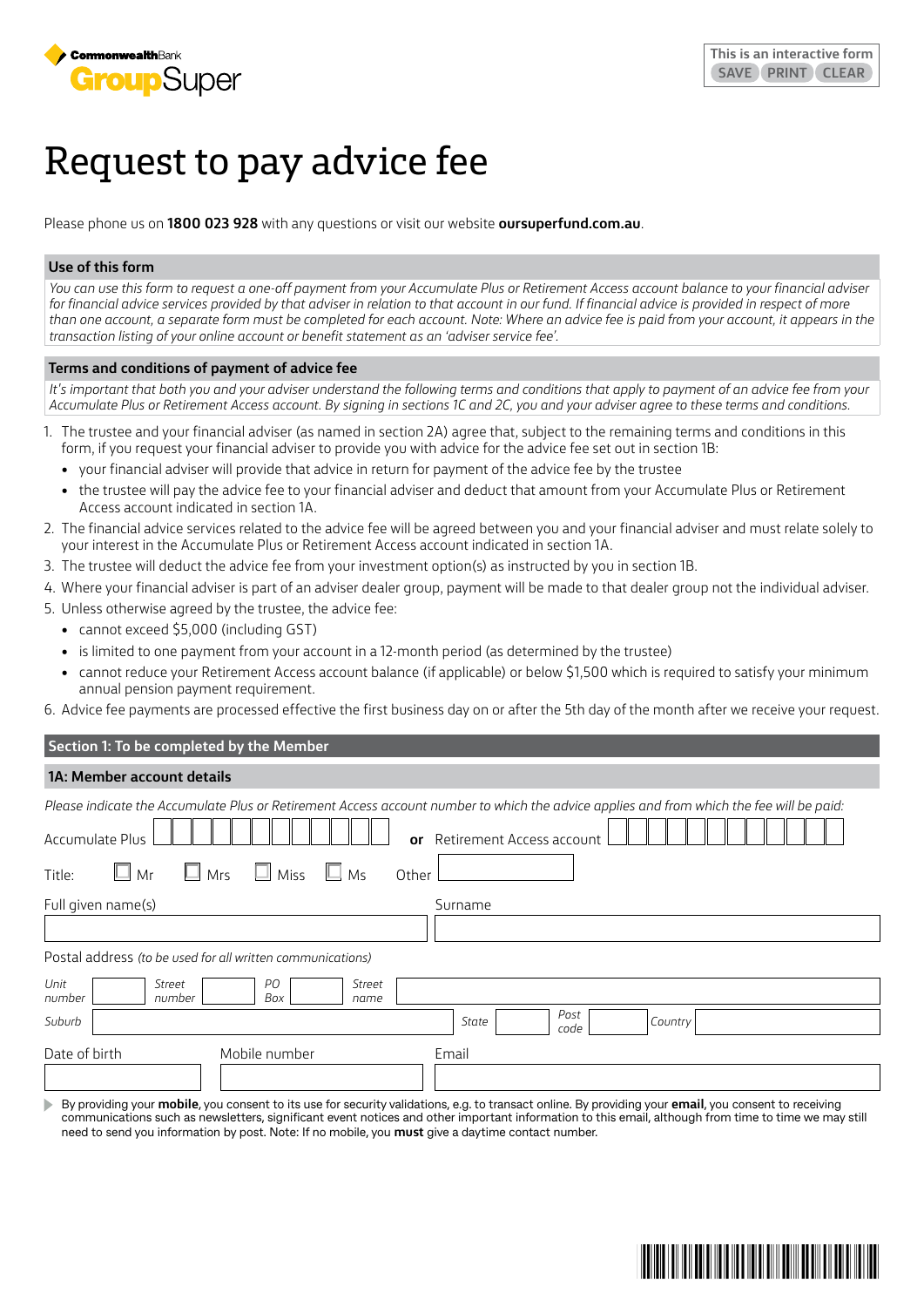

# Request to pay advice fee

Please phone us on **1800 023 928** with any questions or visit our website **[oursuperfund.com.au](http://oursuperfund.com.au)**.

#### **Use of this form**

*You can use this form to request a one-off payment from your Accumulate Plus or Retirement Access account balance to your financial adviser*  for financial advice services provided by that adviser in relation to that account in our fund. If financial advice is provided in respect of more than one account, a separate form must be completed for each account. Note: Where an advice fee is paid from your account, it appears in the *transaction listing of your online account or benefit statement as an 'adviser service fee'.*

#### **Terms and conditions of payment of advice fee**

It's important that both you and your adviser understand the following terms and conditions that apply to payment of an advice fee from your *Accumulate Plus or Retirement Access account. By signing in sections 1C and 2C, you and your adviser agree to these terms and conditions.*

- 1. The trustee and your financial adviser (as named in section 2A) agree that, subject to the remaining terms and conditions in this form, if you request your financial adviser to provide you with advice for the advice fee set out in section 1B:
	- your financial adviser will provide that advice in return for payment of the advice fee by the trustee
	- the trustee will pay the advice fee to your financial adviser and deduct that amount from your Accumulate Plus or Retirement Access account indicated in section 1A.
- 2. The financial advice services related to the advice fee will be agreed between you and your financial adviser and must relate solely to your interest in the Accumulate Plus or Retirement Access account indicated in section 1A.
- 3. The trustee will deduct the advice fee from your investment option(s) as instructed by you in section 1B.
- 4. Where your financial adviser is part of an adviser dealer group, payment will be made to that dealer group not the individual adviser.
- 5. Unless otherwise agreed by the trustee, the advice fee:
	- cannot exceed \$5,000 (including GST)
	- is limited to one payment from your account in a 12-month period (as determined by the trustee)
	- cannot reduce your Retirement Access account balance (if applicable) or below \$1,500 which is required to satisfy your minimum annual pension payment requirement.

6. Advice fee payments are processed effective the first business day on or after the 5th day of the month after we receive your request.

# **Section 1: To be completed by the Member**

# **1A: Member account details**

| Please indicate the Accumulate Plus or Retirement Access account number to which the advice applies and from which the fee will be paid:      |
|-----------------------------------------------------------------------------------------------------------------------------------------------|
| Accumulate Plus<br>Retirement Access account<br>or                                                                                            |
| $\Box$ Miss<br>$\Box$ Mrs<br>$\square$ Ms<br>$\Box$ Mr<br>Title:<br>Other                                                                     |
| Full given name(s)<br>Surname                                                                                                                 |
|                                                                                                                                               |
| Postal address (to be used for all written communications)                                                                                    |
| Unit<br>PО<br>Street<br>Street<br>Box<br>number<br>number<br>name                                                                             |
| Post<br>Suburb<br>State<br>Country<br>code                                                                                                    |
| Date of birth<br>Mobile number<br>Email                                                                                                       |
| Purpouding vous mobile you concent to its use for sequity volidations, o a to transact opline. Purpouding your amail you consent to requiring |

By providing your **mobile**, you consent to its use for security validations, e.g. to transact online. By providing your **email**, you consent to receiving communications such as newsletters, significant event notices and other important information to this email, although from time to time we may still need to send you information by post. Note: If no mobile, you **must** give a daytime contact number.

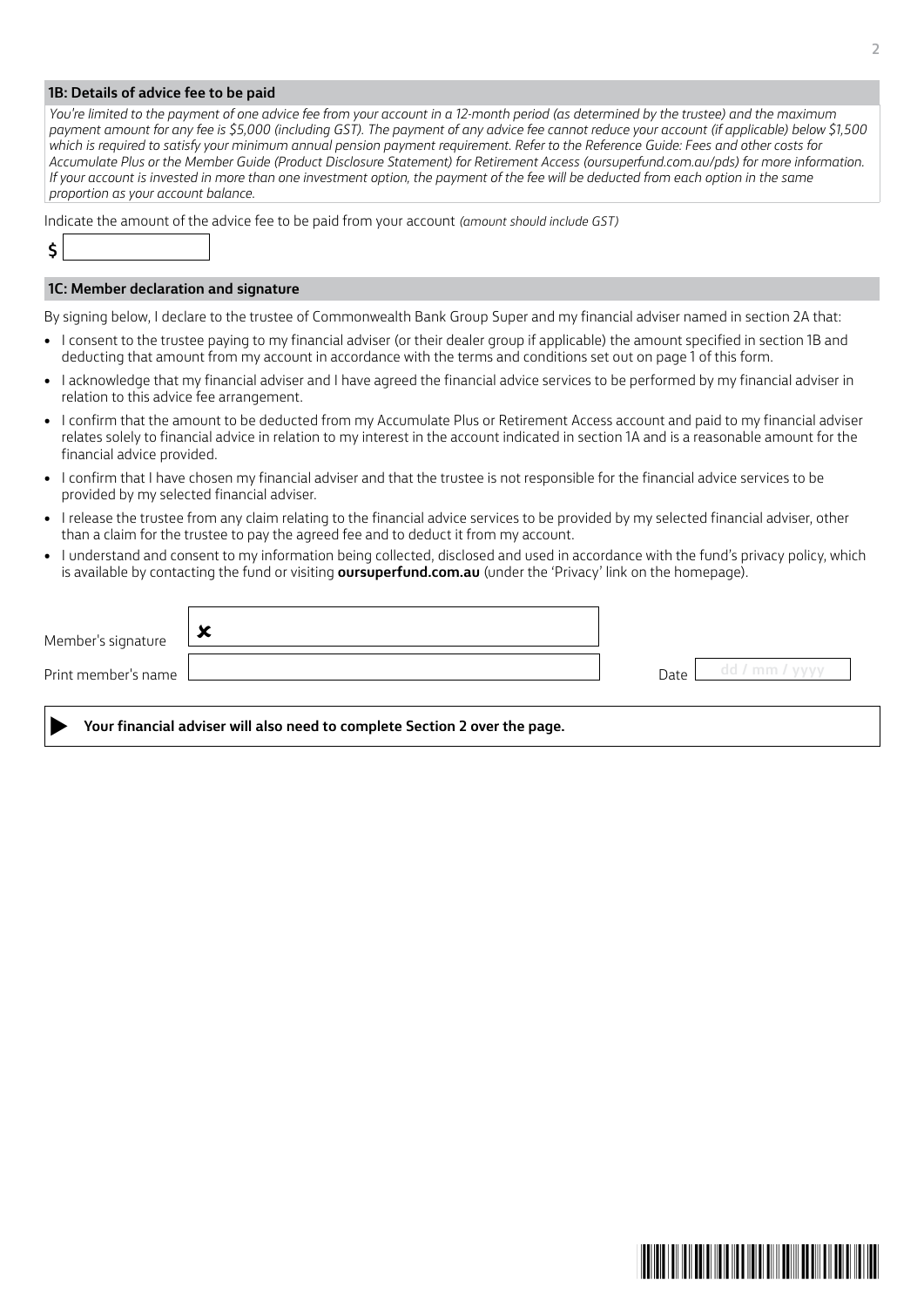#### **1B: Details of advice fee to be paid**

*You're limited to the payment of one advice fee from your account in a 12-month period (as determined by the trustee) and the maximum payment amount for any fee is \$5,000 (including GST). The payment of any advice fee cannot reduce your account (if applicable) below \$1,500 which is required to satisfy your minimum annual pension payment requirement. Refer to the Reference Guide: Fees and other costs for Accumulate Plus or the Member Guide (Product Disclosure Statement) for Retirement Acces[s \(oursuperfund.com.au/pds\)](http://oursuperfund.com.au/pds) for more information. If your account is invested in more than one investment option, the payment of the fee will be deducted from each option in the same proportion as your account balance.*

Indicate the amount of the advice fee to be paid from your account *(amount should include GST)*

# **\$**

# **1C: Member declaration and signature**

By signing below, I declare to the trustee of Commonwealth Bank Group Super and my financial adviser named in section 2A that:

- I consent to the trustee paying to my financial adviser (or their dealer group if applicable) the amount specified in section 1B and deducting that amount from my account in accordance with the terms and conditions set out on page 1 of this form.
- I acknowledge that my financial adviser and I have agreed the financial advice services to be performed by my financial adviser in relation to this advice fee arrangement.
- I confirm that the amount to be deducted from my Accumulate Plus or Retirement Access account and paid to my financial adviser relates solely to financial advice in relation to my interest in the account indicated in section 1A and is a reasonable amount for the financial advice provided.
- I confirm that I have chosen my financial adviser and that the trustee is not responsible for the financial advice services to be provided by my selected financial adviser.
- I release the trustee from any claim relating to the financial advice services to be provided by my selected financial adviser, other than a claim for the trustee to pay the agreed fee and to deduct it from my account.
- I understand and consent to my information being collected, disclosed and used in accordance with the fund's privacy policy, which is available by contacting the fund or visiting **[oursuperfund.com.au](http://oursuperfund.com.au)** (under the 'Privacy' link on the homepage).

| Member's signature  | 6.0<br>$\overline{\phantom{a}}$ |      |           |
|---------------------|---------------------------------|------|-----------|
| Print member's name |                                 | Date | dd / mm / |

**Your financial adviser will also need to complete Section 2 over the page.**